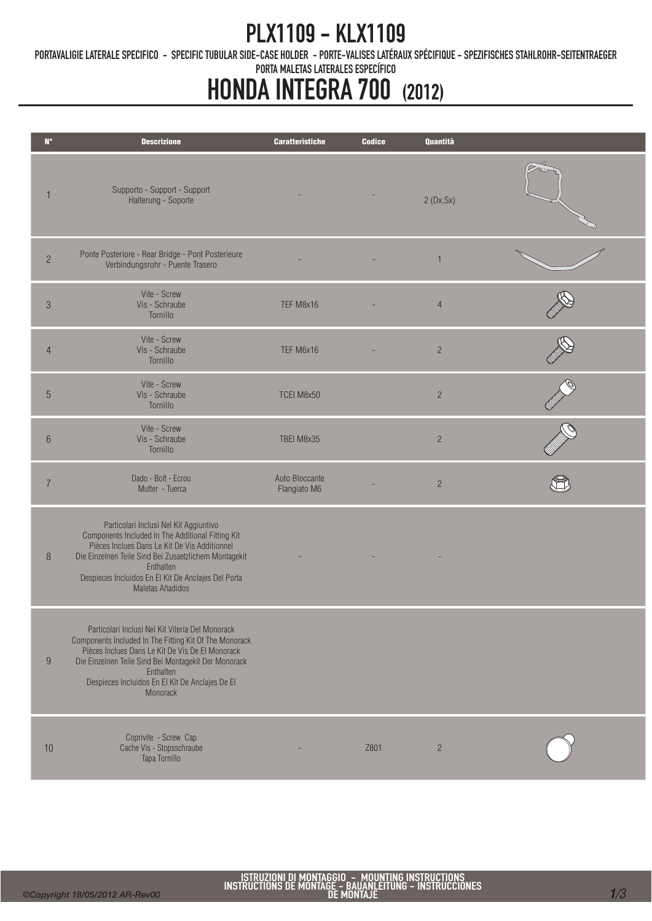### PLX1109 - KLX1109

PORTAVALIGIE LATERALE SPECIFICO - SPECIFIC TUBULAR SIDE-CASE HOLDER - PORTE-VALISES LATÉRAUX SPÉCIFIQUE - SPEZIFISCHES STAHLROHR-SEITENTRAEGER

PORTA MALETAS LATERALES ESPECÍFICO

# HONDA INTEGRA 700 (2012)

| $\mathbf{N}^\circ$ | <b>Descrizione</b>                                                                                                                                                                                                                                                                                 | <b>Caratteristiche</b>         | <b>Codice</b> | Quantità       |  |
|--------------------|----------------------------------------------------------------------------------------------------------------------------------------------------------------------------------------------------------------------------------------------------------------------------------------------------|--------------------------------|---------------|----------------|--|
|                    | Supporto - Support - Support<br>Halterung - Soporte                                                                                                                                                                                                                                                |                                |               | 2(Dx,Sx)       |  |
| $\overline{2}$     | Ponte Posteriore - Rear Bridge - Pont Posterieure<br>Verbindungsrohr - Puente Trasero                                                                                                                                                                                                              |                                |               | $\mathbf{1}$   |  |
| $\sqrt{3}$         | Vite - Screw<br>Vis - Schraube<br>Tornillo                                                                                                                                                                                                                                                         | TEF M8x16                      |               | $\overline{4}$ |  |
| $\overline{4}$     | Vite - Screw<br>Vis - Schraube<br>Tornillo                                                                                                                                                                                                                                                         | TEF M6x16                      |               | $\overline{c}$ |  |
| $\overline{5}$     | Vite - Screw<br>Vis - Schraube<br>Tornillo                                                                                                                                                                                                                                                         | TCEI M8x50                     |               | $\sqrt{2}$     |  |
| $6\phantom{.}6$    | Vite - Screw<br>Vis - Schraube<br>Tornillo                                                                                                                                                                                                                                                         | TBEI M8x35                     |               | $\overline{c}$ |  |
| $\overline{7}$     | Dado - Bolt - Ecrou<br>Mutter - Tuerca                                                                                                                                                                                                                                                             | Auto Bloccante<br>Flangiato M6 |               | $\overline{c}$ |  |
| 8                  | Particolari Inclusi Nel Kit Aggiuntivo<br>Components Included In The Additional Fitting Kit<br>Pièces Inclues Dans Le Kit De Vis Additionnel<br>Die Einzelnen Teile Sind Bei Zusaetzlichem Montagekit<br>Enthalten<br>Despieces Incluidos En El Kit De Anclajes Del Porta<br>Maletas Añadidos      |                                |               |                |  |
| 9                  | Particolari Inclusi Nel Kit Viteria Del Monorack<br>Components Included In The Fitting Kit Of The Monorack<br>Pièces Inclues Dans Le Kit De Vis De El Monorack<br>Die Einzelnen Teile Sind Bei Montagekit Der Monorack<br>Enthalten<br>Despieces Incluidos En El Kit De Anclajes De El<br>Monorack |                                |               |                |  |
| 10                 | Coprivite - Screw Cap<br>Cache Vis - Stopsschraube<br>Tapa Tornillo                                                                                                                                                                                                                                |                                | Z801          | $\overline{2}$ |  |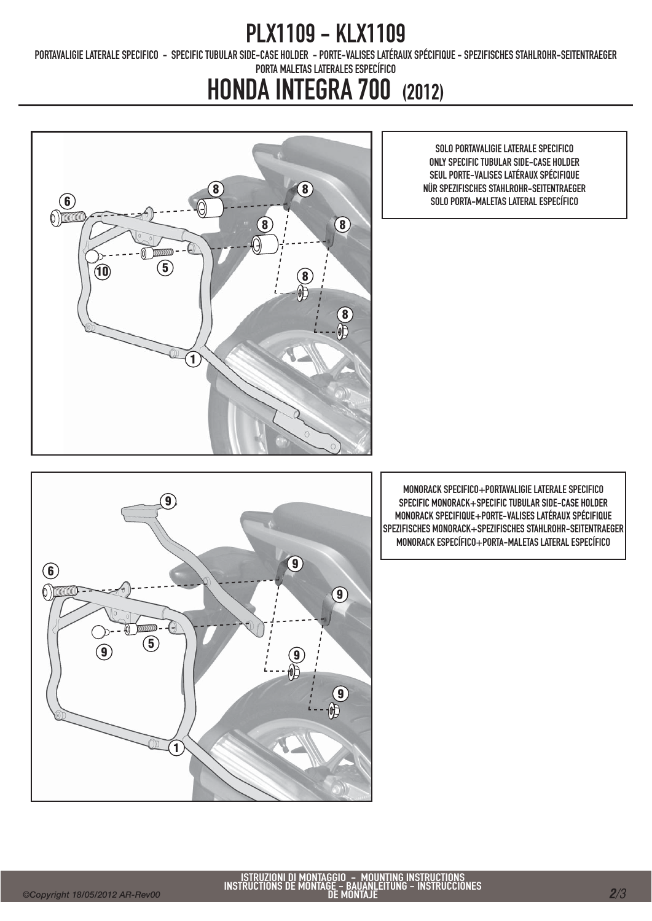### PLX1109 - KLX1109

PORTAVALIGIE LATERALE SPECIFICO - SPECIFIC TUBULAR SIDE-CASE HOLDER - PORTE-VALISES LATÉRAUX SPÉCIFIQUE - SPEZIFISCHES STAHLROHR-SEITENTRAEGER

PORTA MALETAS LATERALES ESPECÍFICO

## HONDA INTEGRA 700 (2012)

SOLO PORTAVALIGIE LATERALE SPECIFICO ONLY SPECIFIC TUBULAR SIDE-CASE HOLDER SEUL PORTE-VALISES LATÉRAUX SPÉCIFIQUE NÜR SPEZIFISCHES STAHLROHR-SEITENTRAEGER





MONORACK SPECIFICO+PORTAVALIGIE LATERALE SPECIFICO SPECIFIC MONORACK+SPECIFIC TUBULAR SIDE-CASE HOLDER MONORACK SPECIFIQUE+PORTE-VALISES LATÉRAUX SPÉCIFIQUE SPEZIFISCHES MONORACK+SPEZIFISCHES STAHLROHR-SEITENTRAEGER MONORACK ESPECÍFICO+PORTA-MALETAS LATERAL ESPECÍFICO